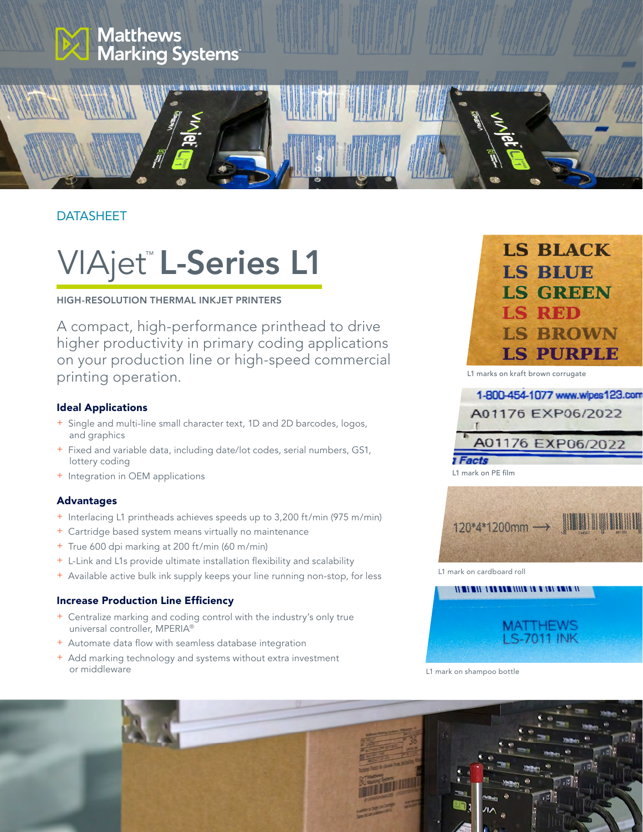

### DATASHEET

# VIAjet™L-Series L1

### HIGH-RESOLUTION THERMAL INKJET PRINTERS

A compact, high-performance printhead to drive higher productivity in primary coding applications on your production line or high-speed commercial printing operation.

### Ideal Applications

- + Single and multi-line small character text, 1D and 2D barcodes, logos, and graphics
- + Fixed and variable data, including date/lot codes, serial numbers, GS1, lottery coding
- + Integration in OEM applications

### Advantages

- + Interlacing L1 printheads achieves speeds up to 3,200 ft/min (975 m/min)
- + Cartridge based system means virtually no maintenance
- + True 600 dpi marking at 200 ft/min (60 m/min)
- + L-Link and L1s provide ultimate installation flexibility and scalability
- + Available active bulk ink supply keeps your line running non-stop, for less

### Increase Production Line Efficiency

- + Centralize marking and coding control with the industry's only true universal controller, MPERIA®
- + Automate data flow with seamless database integration
- + Add marking technology and systems without extra investment or middleware



L1 marks on kraft brown corrugate



# A01176 EXP06/2022

**Facts** 

L1 mark on PE film



L1 mark on cardboard roll



L1 mark on shampoo bottle